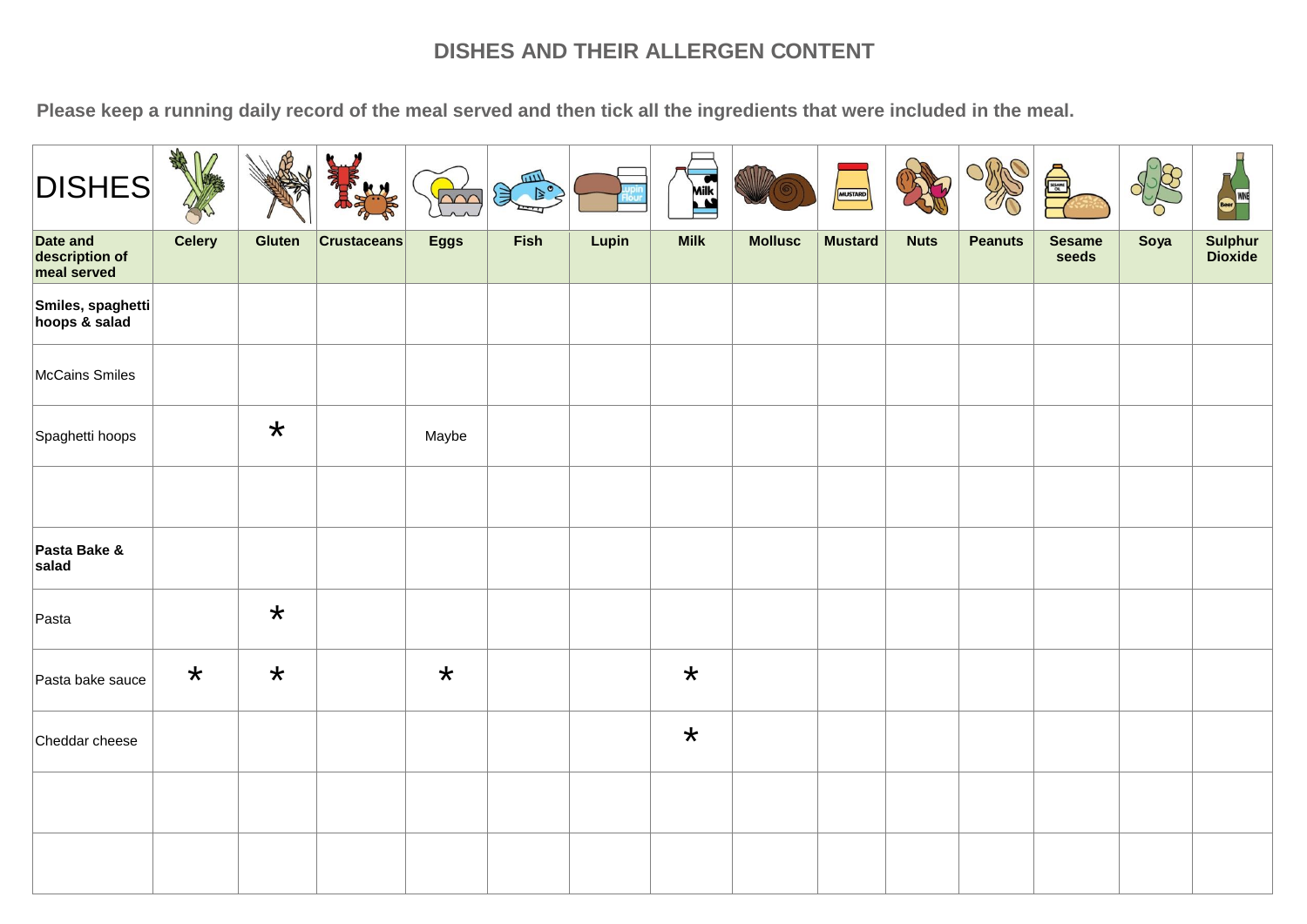| <b>DISHES</b>                                    | <b>SHARA</b><br>⋂ |         |                    | $\bigcap \bigcap$ | Sean S |       | <b>Mik</b>  |                | MUSTARD        |             |                |                        |      | WINE               |
|--------------------------------------------------|-------------------|---------|--------------------|-------------------|--------|-------|-------------|----------------|----------------|-------------|----------------|------------------------|------|--------------------|
| <b>Date and</b><br>description of<br>meal served | Celery            | Gluten  | <b>Crustaceans</b> | <b>Eggs</b>       | Fish   | Lupin | <b>Milk</b> | <b>Mollusc</b> | <b>Mustard</b> | <b>Nuts</b> | <b>Peanuts</b> | <b>Sesame</b><br>seeds | Soya | Sulphur<br>Dioxide |
| Smiles, spaghetti<br>hoops & salad               |                   |         |                    |                   |        |       |             |                |                |             |                |                        |      |                    |
| McCains Smiles                                   |                   |         |                    |                   |        |       |             |                |                |             |                |                        |      |                    |
| Spaghetti hoops                                  |                   | $\star$ |                    | Maybe             |        |       |             |                |                |             |                |                        |      |                    |
|                                                  |                   |         |                    |                   |        |       |             |                |                |             |                |                        |      |                    |
| Pasta Bake &<br>salad                            |                   |         |                    |                   |        |       |             |                |                |             |                |                        |      |                    |
| Pasta                                            |                   | $\star$ |                    |                   |        |       |             |                |                |             |                |                        |      |                    |
| Pasta bake sauce                                 | $\star$           | $\star$ |                    | $\star$           |        |       | $\star$     |                |                |             |                |                        |      |                    |
| Cheddar cheese                                   |                   |         |                    |                   |        |       | $\star$     |                |                |             |                |                        |      |                    |
|                                                  |                   |         |                    |                   |        |       |             |                |                |             |                |                        |      |                    |
|                                                  |                   |         |                    |                   |        |       |             |                |                |             |                |                        |      |                    |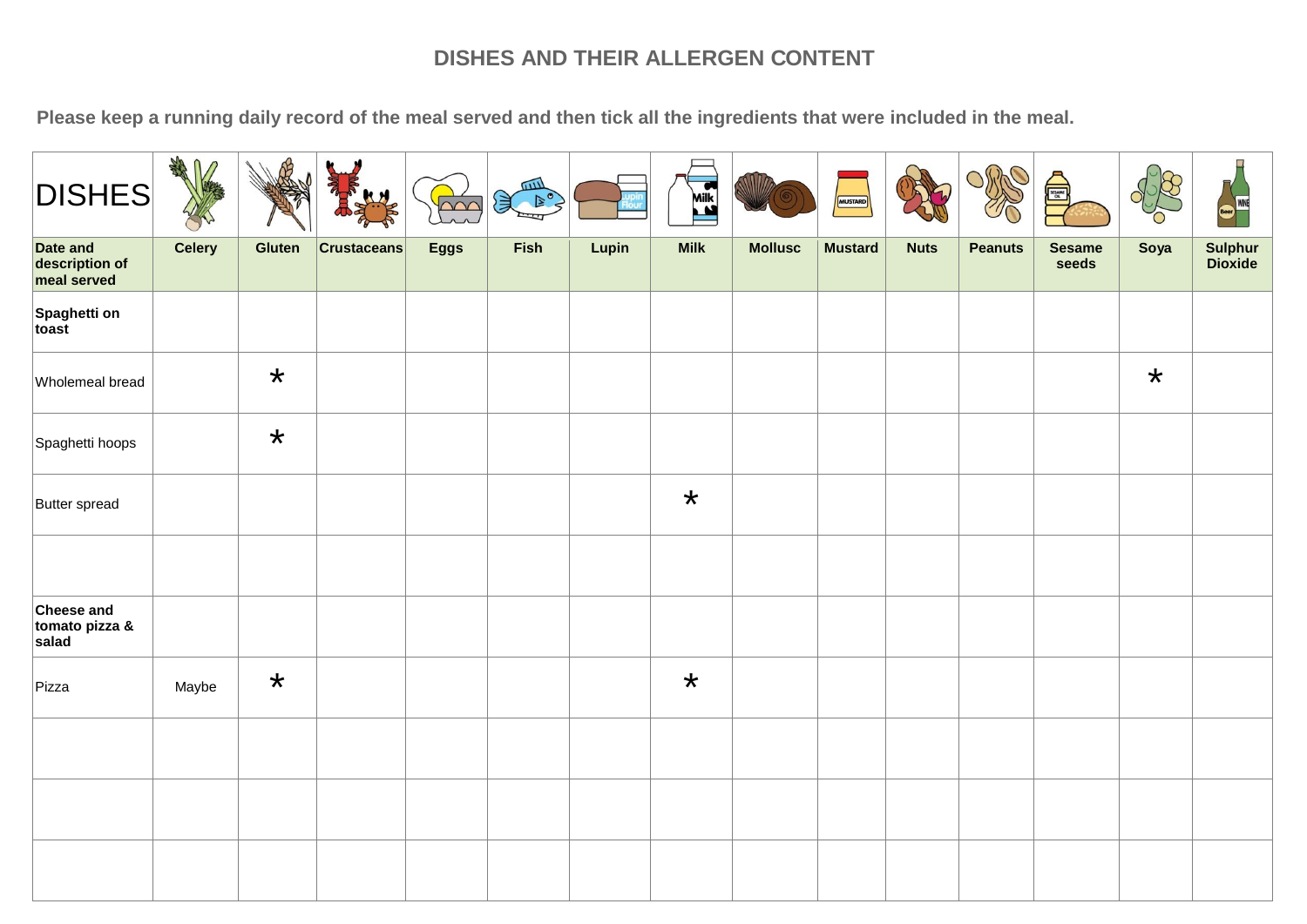| <b>DISHES</b>                             | AND<br>$\mathsf{U}$<br>$\sqrt{2}$ |         | y                  | $\sim$      | <b>ALLES</b><br>ぼく しょうしょう けいしゃ しゅうしゃ しゅうしゃ しゅうしゃ けいしん しゅうしゅう けいしゅう はんしゅう はんしゃ しゅうかい けいしゅう はんしゅう しゅうしゅう しゅうしゅう |       | <b>Mik</b>  |                | <b>MUSTARD</b> |             | D              | $\bigoplus$            |         | WINE               |
|-------------------------------------------|-----------------------------------|---------|--------------------|-------------|---------------------------------------------------------------------------------------------------------------|-------|-------------|----------------|----------------|-------------|----------------|------------------------|---------|--------------------|
| Date and<br>description of<br>meal served | <b>Celery</b>                     | Gluten  | <b>Crustaceans</b> | <b>Eggs</b> | Fish                                                                                                          | Lupin | <b>Milk</b> | <b>Mollusc</b> | <b>Mustard</b> | <b>Nuts</b> | <b>Peanuts</b> | <b>Sesame</b><br>seeds | Soya    | Sulphur<br>Dioxide |
| Spaghetti on<br>toast                     |                                   |         |                    |             |                                                                                                               |       |             |                |                |             |                |                        |         |                    |
| Wholemeal bread                           |                                   | $\star$ |                    |             |                                                                                                               |       |             |                |                |             |                |                        | $\star$ |                    |
| Spaghetti hoops                           |                                   | $\star$ |                    |             |                                                                                                               |       |             |                |                |             |                |                        |         |                    |
| Butter spread                             |                                   |         |                    |             |                                                                                                               |       | $\star$     |                |                |             |                |                        |         |                    |
|                                           |                                   |         |                    |             |                                                                                                               |       |             |                |                |             |                |                        |         |                    |
| Cheese and<br>tomato pizza &<br>salad     |                                   |         |                    |             |                                                                                                               |       |             |                |                |             |                |                        |         |                    |
| Pizza                                     | Maybe                             | $\star$ |                    |             |                                                                                                               |       | $\star$     |                |                |             |                |                        |         |                    |
|                                           |                                   |         |                    |             |                                                                                                               |       |             |                |                |             |                |                        |         |                    |
|                                           |                                   |         |                    |             |                                                                                                               |       |             |                |                |             |                |                        |         |                    |
|                                           |                                   |         |                    |             |                                                                                                               |       |             |                |                |             |                |                        |         |                    |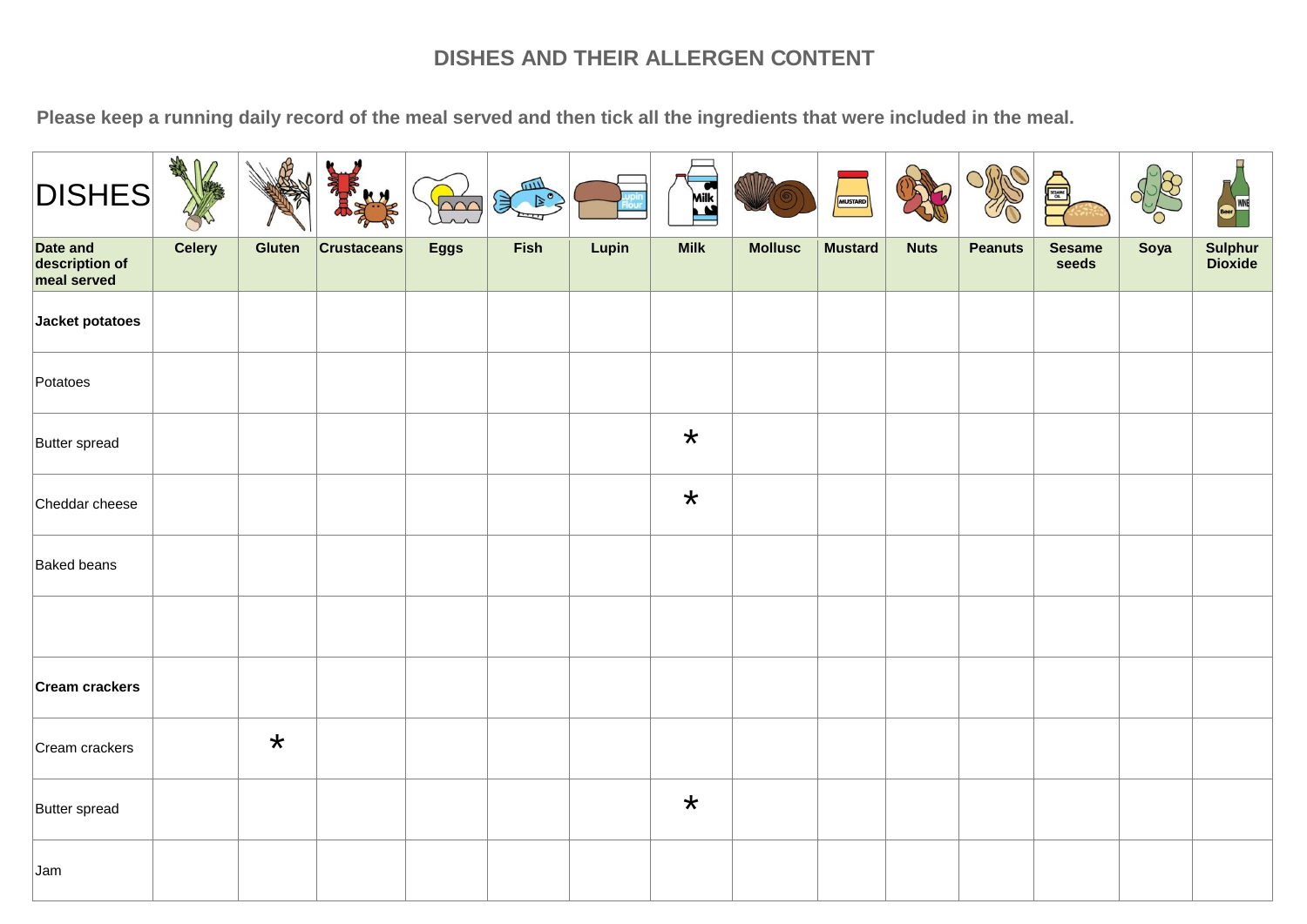| <b>DISHES</b>                             | AND<br>$\bigcap$<br>$\sqrt{2}$ |         | М                  | $\sim$      | <b>ALLES</b><br>€ |       | Mik         |                | <b>MUSTARD</b> |             |                | $\begin{array}{c}\n\hline\n\text{SUSM} \\ \hline\n\end{array}$ |      | WINE               |
|-------------------------------------------|--------------------------------|---------|--------------------|-------------|-------------------|-------|-------------|----------------|----------------|-------------|----------------|----------------------------------------------------------------|------|--------------------|
| Date and<br>description of<br>meal served | Celery                         | Gluten  | <b>Crustaceans</b> | <b>Eggs</b> | <b>Fish</b>       | Lupin | <b>Milk</b> | <b>Mollusc</b> | <b>Mustard</b> | <b>Nuts</b> | <b>Peanuts</b> | <b>Sesame</b><br>seeds                                         | Soya | Sulphur<br>Dioxide |
| Jacket potatoes                           |                                |         |                    |             |                   |       |             |                |                |             |                |                                                                |      |                    |
| Potatoes                                  |                                |         |                    |             |                   |       |             |                |                |             |                |                                                                |      |                    |
| Butter spread                             |                                |         |                    |             |                   |       | $\star$     |                |                |             |                |                                                                |      |                    |
| Cheddar cheese                            |                                |         |                    |             |                   |       | $\star$     |                |                |             |                |                                                                |      |                    |
| <b>Baked beans</b>                        |                                |         |                    |             |                   |       |             |                |                |             |                |                                                                |      |                    |
|                                           |                                |         |                    |             |                   |       |             |                |                |             |                |                                                                |      |                    |
| Cream crackers                            |                                |         |                    |             |                   |       |             |                |                |             |                |                                                                |      |                    |
| Cream crackers                            |                                | $\star$ |                    |             |                   |       |             |                |                |             |                |                                                                |      |                    |
| Butter spread                             |                                |         |                    |             |                   |       | $\star$     |                |                |             |                |                                                                |      |                    |
| Jam                                       |                                |         |                    |             |                   |       |             |                |                |             |                |                                                                |      |                    |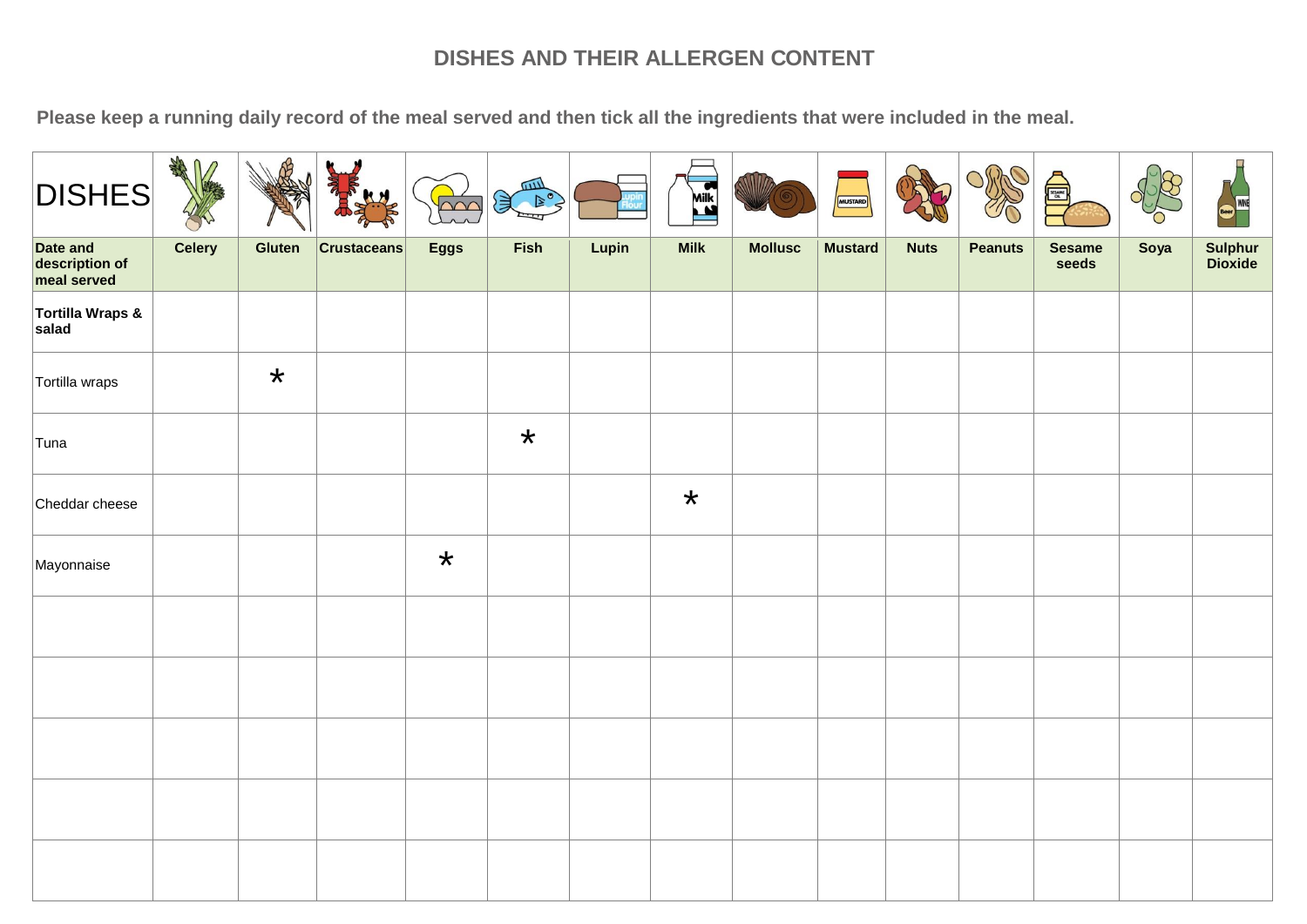| <b>DISHES</b>                             | <b>SARA</b><br>∩ | ଐ       | y<br>KN            | $\cap \cap$ | <b>ALLES</b><br>J. |       | <b>ASSESS</b> |                | <b>MUSTARD</b> |             | C,             | €                      |      | $\mathcal{L}$<br>WINE |
|-------------------------------------------|------------------|---------|--------------------|-------------|--------------------|-------|---------------|----------------|----------------|-------------|----------------|------------------------|------|-----------------------|
| Date and<br>description of<br>meal served | Celery           | Gluten  | <b>Crustaceans</b> | <b>Eggs</b> | Fish               | Lupin | <b>Milk</b>   | <b>Mollusc</b> | <b>Mustard</b> | <b>Nuts</b> | <b>Peanuts</b> | <b>Sesame</b><br>seeds | Soya | Sulphur<br>Dioxide    |
| Tortilla Wraps &<br>salad                 |                  |         |                    |             |                    |       |               |                |                |             |                |                        |      |                       |
| Tortilla wraps                            |                  | $\star$ |                    |             |                    |       |               |                |                |             |                |                        |      |                       |
| Tuna                                      |                  |         |                    |             | $\star$            |       |               |                |                |             |                |                        |      |                       |
| Cheddar cheese                            |                  |         |                    |             |                    |       | $\star$       |                |                |             |                |                        |      |                       |
| Mayonnaise                                |                  |         |                    | $\star$     |                    |       |               |                |                |             |                |                        |      |                       |
|                                           |                  |         |                    |             |                    |       |               |                |                |             |                |                        |      |                       |
|                                           |                  |         |                    |             |                    |       |               |                |                |             |                |                        |      |                       |
|                                           |                  |         |                    |             |                    |       |               |                |                |             |                |                        |      |                       |
|                                           |                  |         |                    |             |                    |       |               |                |                |             |                |                        |      |                       |
|                                           |                  |         |                    |             |                    |       |               |                |                |             |                |                        |      |                       |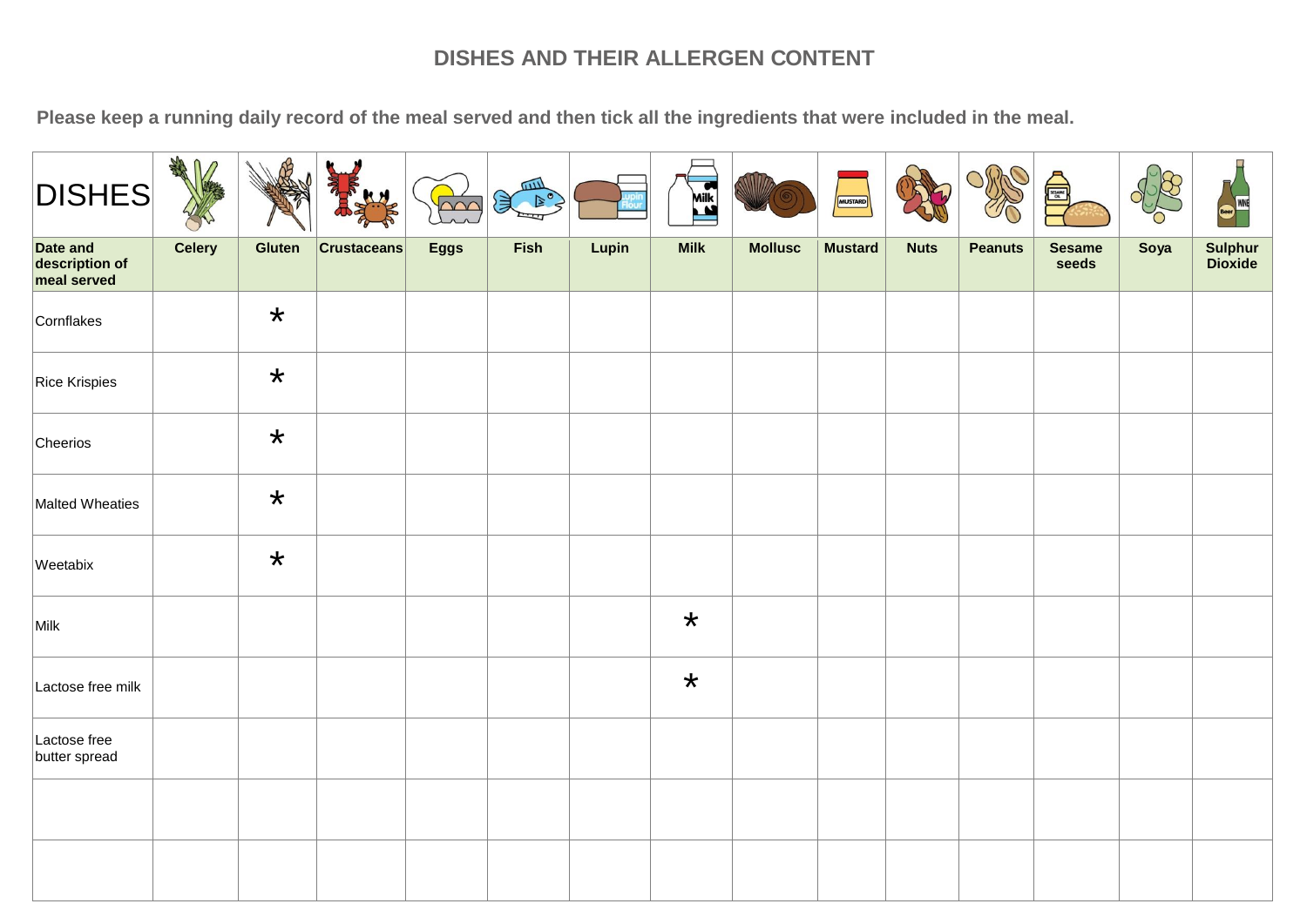| <b>DISHES</b>                             | <b>SHAS</b><br>∩ |         | abdr <sup>2</sup><br>y<br>KH | $\triangle \triangle C$ | $\begin{picture}(120,115) \put(0,0){\line(1,0){15}} \put(15,0){\line(1,0){15}} \put(15,0){\line(1,0){15}} \put(15,0){\line(1,0){15}} \put(15,0){\line(1,0){15}} \put(15,0){\line(1,0){15}} \put(15,0){\line(1,0){15}} \put(15,0){\line(1,0){15}} \put(15,0){\line(1,0){15}} \put(15,0){\line(1,0){15}} \put(15,0){\line(1,0){15}} \put(15,0){\line$ |       | Milk        |                | <b>MUSTARD</b> |             | C.             | ⋚                      |      | WINE               |
|-------------------------------------------|------------------|---------|------------------------------|-------------------------|-----------------------------------------------------------------------------------------------------------------------------------------------------------------------------------------------------------------------------------------------------------------------------------------------------------------------------------------------------|-------|-------------|----------------|----------------|-------------|----------------|------------------------|------|--------------------|
| Date and<br>description of<br>meal served | Celery           | Gluten  | <b>Crustaceans</b>           | <b>Eggs</b>             | Fish                                                                                                                                                                                                                                                                                                                                                | Lupin | <b>Milk</b> | <b>Mollusc</b> | <b>Mustard</b> | <b>Nuts</b> | <b>Peanuts</b> | <b>Sesame</b><br>seeds | Soya | Sulphur<br>Dioxide |
| Cornflakes                                |                  | $\star$ |                              |                         |                                                                                                                                                                                                                                                                                                                                                     |       |             |                |                |             |                |                        |      |                    |
| <b>Rice Krispies</b>                      |                  | $\star$ |                              |                         |                                                                                                                                                                                                                                                                                                                                                     |       |             |                |                |             |                |                        |      |                    |
| Cheerios                                  |                  | $\star$ |                              |                         |                                                                                                                                                                                                                                                                                                                                                     |       |             |                |                |             |                |                        |      |                    |
| Malted Wheaties                           |                  | $\star$ |                              |                         |                                                                                                                                                                                                                                                                                                                                                     |       |             |                |                |             |                |                        |      |                    |
| Weetabix                                  |                  | $\star$ |                              |                         |                                                                                                                                                                                                                                                                                                                                                     |       |             |                |                |             |                |                        |      |                    |
| Milk                                      |                  |         |                              |                         |                                                                                                                                                                                                                                                                                                                                                     |       | $\star$     |                |                |             |                |                        |      |                    |
| Lactose free milk                         |                  |         |                              |                         |                                                                                                                                                                                                                                                                                                                                                     |       | $\star$     |                |                |             |                |                        |      |                    |
| Lactose free<br>butter spread             |                  |         |                              |                         |                                                                                                                                                                                                                                                                                                                                                     |       |             |                |                |             |                |                        |      |                    |
|                                           |                  |         |                              |                         |                                                                                                                                                                                                                                                                                                                                                     |       |             |                |                |             |                |                        |      |                    |
|                                           |                  |         |                              |                         |                                                                                                                                                                                                                                                                                                                                                     |       |             |                |                |             |                |                        |      |                    |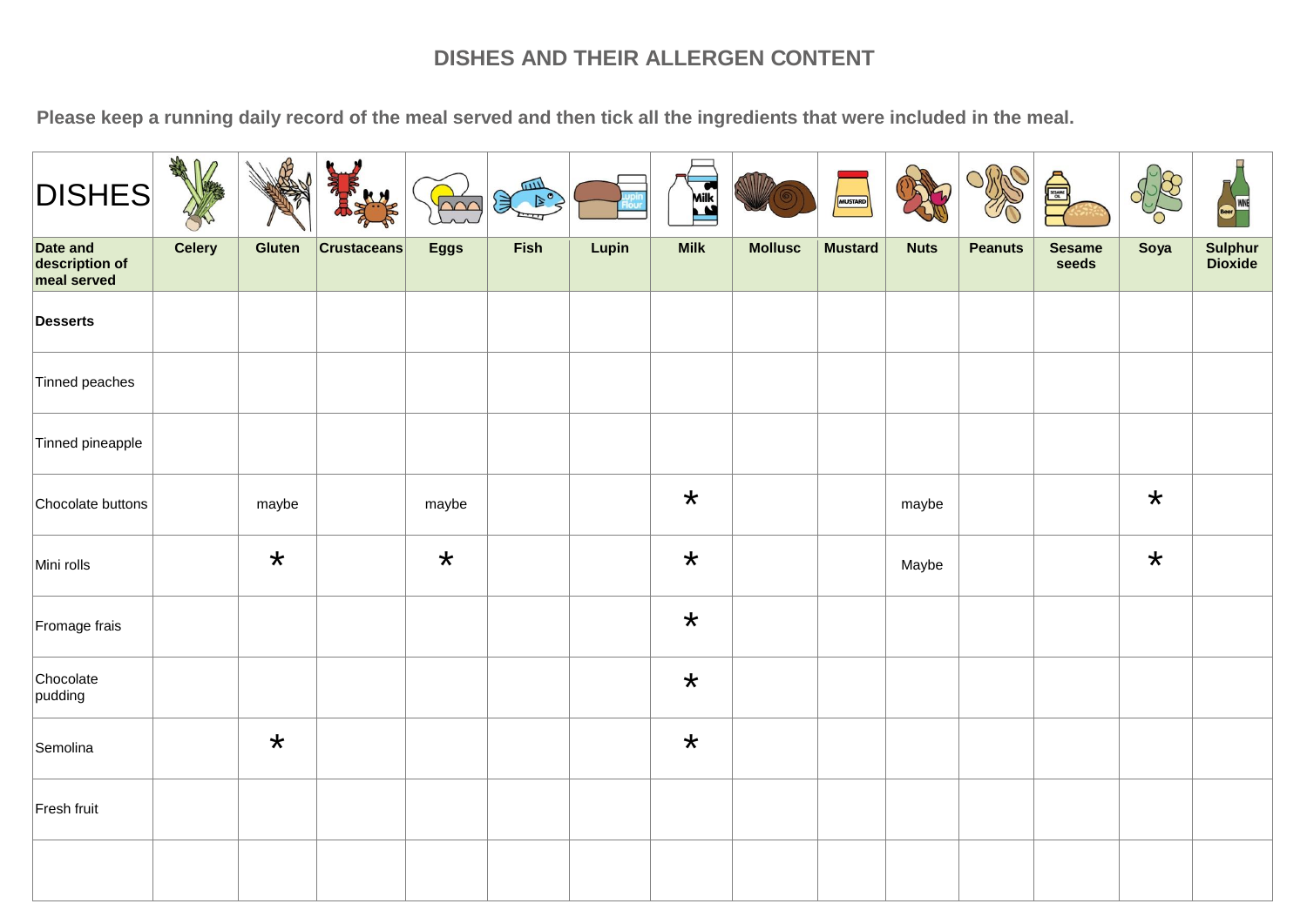| <b>DISHES</b>                             | ARA<br>⋂<br>$\sqrt{2}$ |         | y                  | $\sim$      | <b>ALLES</b><br>E C |       | Mik         |                | MUSTARD        |             | C.             | SESAME <sub>DE</sub>   |         | WINE               |
|-------------------------------------------|------------------------|---------|--------------------|-------------|---------------------|-------|-------------|----------------|----------------|-------------|----------------|------------------------|---------|--------------------|
| Date and<br>description of<br>meal served | <b>Celery</b>          | Gluten  | <b>Crustaceans</b> | <b>Eggs</b> | Fish                | Lupin | <b>Milk</b> | <b>Mollusc</b> | <b>Mustard</b> | <b>Nuts</b> | <b>Peanuts</b> | <b>Sesame</b><br>seeds | Soya    | Sulphur<br>Dioxide |
| <b>Desserts</b>                           |                        |         |                    |             |                     |       |             |                |                |             |                |                        |         |                    |
| Tinned peaches                            |                        |         |                    |             |                     |       |             |                |                |             |                |                        |         |                    |
| Tinned pineapple                          |                        |         |                    |             |                     |       |             |                |                |             |                |                        |         |                    |
| Chocolate buttons                         |                        | maybe   |                    | maybe       |                     |       | $\star$     |                |                | maybe       |                |                        | $\star$ |                    |
| Mini rolls                                |                        | $\star$ |                    | $\star$     |                     |       | $\star$     |                |                | Maybe       |                |                        | $\star$ |                    |
| Fromage frais                             |                        |         |                    |             |                     |       | $\star$     |                |                |             |                |                        |         |                    |
| Chocolate<br>pudding                      |                        |         |                    |             |                     |       | $\star$     |                |                |             |                |                        |         |                    |
| Semolina                                  |                        | $\star$ |                    |             |                     |       | $\star$     |                |                |             |                |                        |         |                    |
| Fresh fruit                               |                        |         |                    |             |                     |       |             |                |                |             |                |                        |         |                    |
|                                           |                        |         |                    |             |                     |       |             |                |                |             |                |                        |         |                    |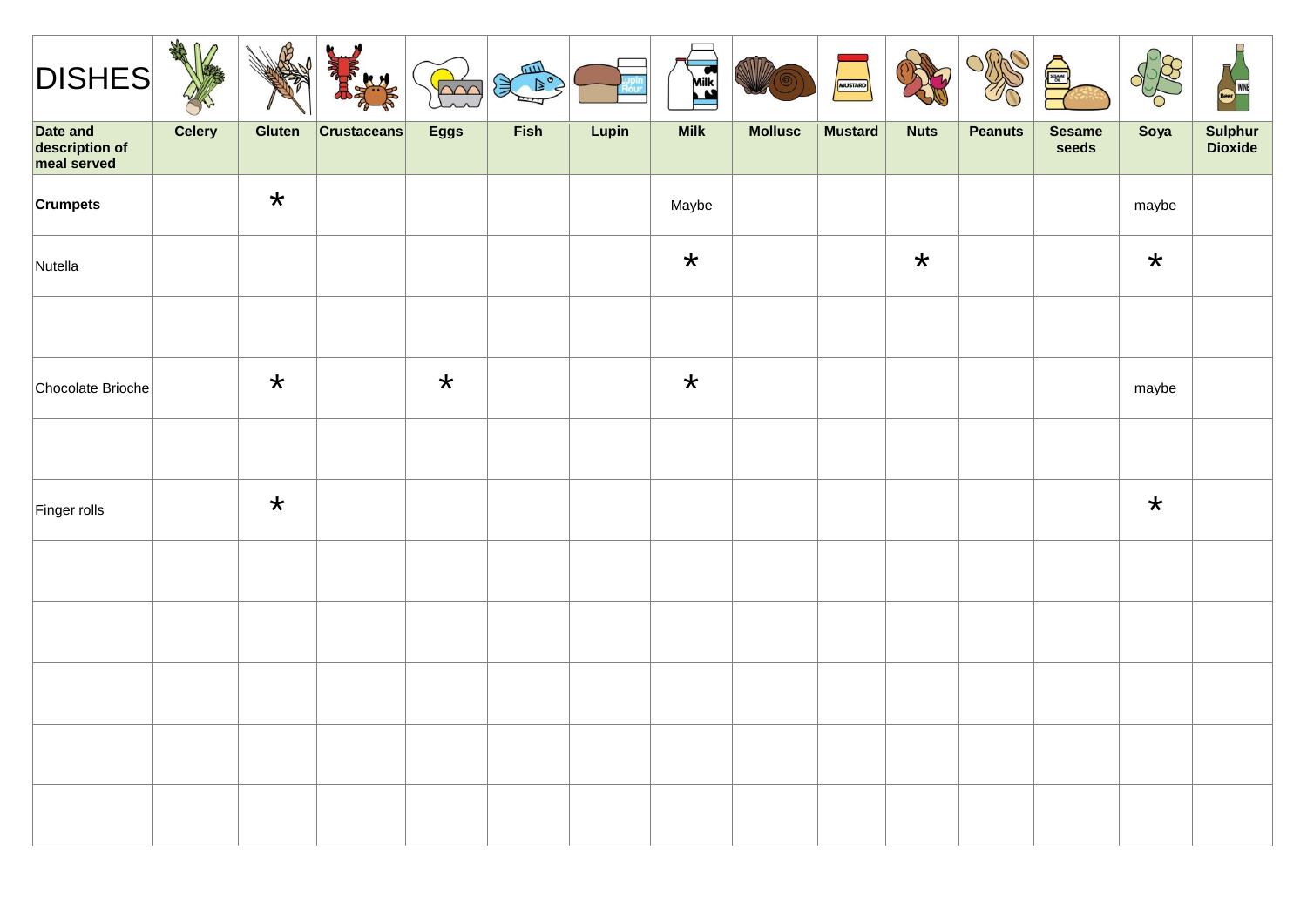| $\sqrt{DISHES}$                           | ARA<br>∩ |               | $\mu_{\nu}$        | poo         | COLLE CO |       | Mik<br><b>Lexik</b> | WIIIZ          | MUSTARD        |             | D              | €                      |         | WINE               |
|-------------------------------------------|----------|---------------|--------------------|-------------|----------|-------|---------------------|----------------|----------------|-------------|----------------|------------------------|---------|--------------------|
| Date and<br>description of<br>meal served | Celery   | <b>Gluten</b> | <b>Crustaceans</b> | <b>Eggs</b> | Fish     | Lupin | <b>Milk</b>         | <b>Mollusc</b> | <b>Mustard</b> | <b>Nuts</b> | <b>Peanuts</b> | <b>Sesame</b><br>seeds | Soya    | Sulphur<br>Dioxide |
| <b>Crumpets</b>                           |          | $\star$       |                    |             |          |       | Maybe               |                |                |             |                |                        | maybe   |                    |
| Nutella                                   |          |               |                    |             |          |       | $\star$             |                |                | $\star$     |                |                        | $\star$ |                    |
|                                           |          |               |                    |             |          |       |                     |                |                |             |                |                        |         |                    |
| Chocolate Brioche                         |          | $\star$       |                    | $\star$     |          |       | $\star$             |                |                |             |                |                        | maybe   |                    |
|                                           |          |               |                    |             |          |       |                     |                |                |             |                |                        |         |                    |
| Finger rolls                              |          | $\star$       |                    |             |          |       |                     |                |                |             |                |                        | $\star$ |                    |
|                                           |          |               |                    |             |          |       |                     |                |                |             |                |                        |         |                    |
|                                           |          |               |                    |             |          |       |                     |                |                |             |                |                        |         |                    |
|                                           |          |               |                    |             |          |       |                     |                |                |             |                |                        |         |                    |
|                                           |          |               |                    |             |          |       |                     |                |                |             |                |                        |         |                    |
|                                           |          |               |                    |             |          |       |                     |                |                |             |                |                        |         |                    |